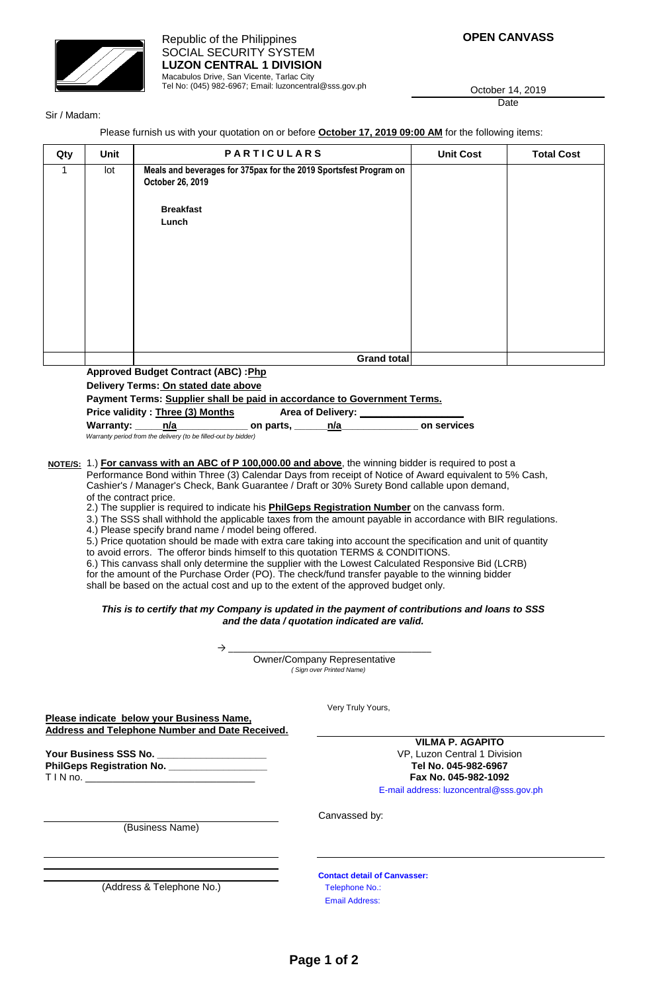

Tel No: (045) 982-6967; Email: luzoncentral@sss.gov.ph

**OPEN CANVASS**

October 14, 2019 Date

Sir / Madam:

Please furnish us with your quotation on or before **October 17, 2019 09:00 AM** for the following items:

| Qty | Unit | <b>PARTICULARS</b>                                                                    | <b>Unit Cost</b> | <b>Total Cost</b> |
|-----|------|---------------------------------------------------------------------------------------|------------------|-------------------|
| 1   | lot  | Meals and beverages for 375pax for the 2019 Sportsfest Program on<br>October 26, 2019 |                  |                   |
|     |      | <b>Breakfast</b><br>Lunch                                                             |                  |                   |
|     |      | Grand total                                                                           |                  |                   |

**Approved Budget Contract (ABC) : Php** 

**Delivery Terms: On stated date above**

**Payment Terms: Supplier shall be paid in accordance to Government Terms.**

Price validity : **Three (3) Months Filter Area of Delivery:** 

| Warranty: | n/a | on parts,                                                      | n/a | on services |
|-----------|-----|----------------------------------------------------------------|-----|-------------|
|           |     | Warranty period from the delivery (to be filled-out by bidder) |     |             |

**NOTE/S:** 1.) **For canvass with an ABC of P 100,000.00 and above**, the winning bidder is required to post a Performance Bond within Three (3) Calendar Days from receipt of Notice of Award equivalent to 5% Cash, Cashier's / Manager's Check, Bank Guarantee / Draft or 30% Surety Bond callable upon demand, of the contract price.

2.) The supplier is required to indicate his **PhilGeps Registration Number** on the canvass form.

3.) The SSS shall withhold the applicable taxes from the amount payable in accordance with BIR regulations.

4.) Please specify brand name / model being offered.

5.) Price quotation should be made with extra care taking into account the specification and unit of quantity to avoid errors. The offeror binds himself to this quotation TERMS & CONDITIONS.

6.) This canvass shall only determine the supplier with the Lowest Calculated Responsive Bid (LCRB)

for the amount of the Purchase Order (PO). The check/fund transfer payable to the winning bidder

shall be based on the actual cost and up to the extent of the approved budget only.

## *This is to certify that my Company is updated in the payment of contributions and loans to SSS and the data / quotation indicated are valid.*

→ \_\_\_\_\_\_\_\_\_\_\_\_\_\_\_\_\_\_\_\_\_\_\_\_\_\_\_\_\_\_\_\_\_\_\_\_\_\_\_\_\_\_ Owner/Company Representative  *( Sign over Printed Name)*

Very Truly Yours,

**Please indicate below your Business Name, Address and Telephone Number and Date Received.**

**Your Business SSS No. \_\_\_\_\_\_\_\_\_\_\_\_\_\_\_\_\_\_\_\_** VP, Luzon Central 1 Division **PhilGeps Registration No. \_\_\_\_\_\_\_\_\_\_\_\_\_\_\_\_\_\_ Tel No. 045-982-6967** T I N no. \_\_\_\_\_\_\_\_\_\_\_\_\_\_\_\_\_\_\_\_\_\_\_\_\_\_\_\_\_\_\_ **Fax No. 045-982-1092**

**VILMA P. AGAPITO** E-mail address: luzoncentral@sss.gov.ph

(Business Name)

Canvassed by:

(Address & Telephone No.)

**Contact detail of Canvasser:** Telephone No.: Email Address: